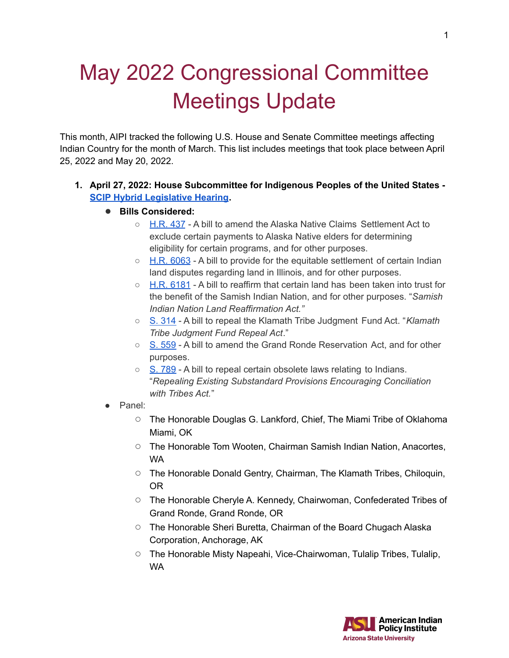## May 2022 Congressional Committee Meetings Update

This month, AIPI tracked the following U.S. House and Senate Committee meetings affecting Indian Country for the month of March. This list includes meetings that took place between April 25, 2022 and May 20, 2022.

## **1. April 27, 2022: House Subcommittee for Indigenous Peoples of the United States - SCIP Hybrid [Legislative](https://naturalresources.house.gov/hearings/scip-hybrid-legislative-hearing_april-27-2022) Hearing.**

- **Bills Considered:**
	- [H.R.](https://www.congress.gov/bill/117th-congress/house-bill/437) 437 A bill to amend the Alaska Native Claims Settlement Act to exclude certain payments to Alaska Native elders for determining eligibility for certain programs, and for other purposes.
	- H.R. [6063](https://www.congress.gov/bill/117th-congress/house-bill/6063?q=%7B%22search%22%3A%22miami%22%7D) A bill to provide for the equitable settlement of certain Indian land disputes regarding land in Illinois, and for other purposes.
	- $\circ$  H.R. [6181](https://www.congress.gov/bill/117th-congress/house-bill/6181?q=%7B%22search%22%3A%5B%22gallego+samish%22%2C%22gallego%22%2C%22samish%22%5D%7D&s=2&r=1) A bill to reaffirm that certain land has been taken into trust for the benefit of the Samish Indian Nation, and for other purposes. "*Samish Indian Nation Land Reaffirmation Act."*
	- S. [314](https://www.congress.gov/bill/117th-congress/senate-bill/314?s=3&r=27) A bill to repeal the Klamath Tribe Judgment Fund Act. "*Klamath Tribe Judgment Fund Repeal Act*."
	- S. [559](https://www.congress.gov/bill/117th-congress/senate-bill/559) A bill to amend the Grand Ronde Reservation Act, and for other purposes.
	- S. [789](https://www.congress.gov/bill/117th-congress/senate-bill/789?q=%7B%22search%22%3A%5B%22rounds+respect%22%2C%22rounds%22%2C%22respect%22%5D%7D&s=3&r=3) A bill to repeal certain obsolete laws relating to Indians. "*Repealing Existing Substandard Provisions Encouraging Conciliation with Tribes Act.*"
- Panel:
	- The Honorable Douglas G. Lankford, Chief, The Miami Tribe of Oklahoma Miami, OK
	- The Honorable Tom Wooten, Chairman Samish Indian Nation, Anacortes, WA
	- The Honorable Donald Gentry, Chairman, The Klamath Tribes, Chiloquin, OR
	- The Honorable Cheryle A. Kennedy, Chairwoman, Confederated Tribes of Grand Ronde, Grand Ronde, OR
	- The Honorable Sheri Buretta, Chairman of the Board Chugach Alaska Corporation, Anchorage, AK
	- The Honorable Misty Napeahi, Vice-Chairwoman, Tulalip Tribes, Tulalip, WA

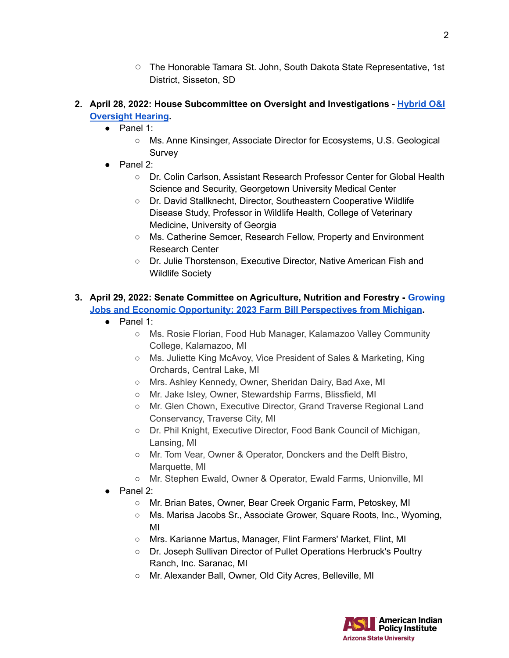- The Honorable Tamara St. John, South Dakota State Representative, 1st District, Sisseton, SD
- **2. April 28, 2022: House Subcommittee on Oversight and Investigations - [Hybrid](https://naturalresources.house.gov/hearings/hybrid-oandi-oversight-hearing_april-28-2022) O&I [Oversight](https://naturalresources.house.gov/hearings/hybrid-oandi-oversight-hearing_april-28-2022) Hearing.**
	- Panel 1:
		- Ms. Anne Kinsinger, Associate Director for Ecosystems, U.S. Geological **Survey**
	- Panel 2:
		- Dr. Colin Carlson, Assistant Research Professor Center for Global Health Science and Security, Georgetown University Medical Center
		- Dr. David Stallknecht, Director, Southeastern Cooperative Wildlife Disease Study, Professor in Wildlife Health, College of Veterinary Medicine, University of Georgia
		- Ms. Catherine Semcer, Research Fellow, Property and Environment Research Center
		- Dr. Julie Thorstenson, Executive Director, Native American Fish and Wildlife Society

## **3. April 29, 2022: Senate Committee on Agriculture, Nutrition and Forestry - [Growing](https://www.agriculture.senate.gov/hearings/growing-jobs-and-economic-opportunity-2023-farm-bill-perspectives-from-michigan) Jobs and Economic Opportunity: 2023 Farm Bill [Perspectives](https://www.agriculture.senate.gov/hearings/growing-jobs-and-economic-opportunity-2023-farm-bill-perspectives-from-michigan) from Michigan.**

- Panel 1:
	- Ms. Rosie Florian, Food Hub Manager, Kalamazoo Valley Community College, Kalamazoo, MI
	- Ms. Juliette King McAvoy, Vice President of Sales & Marketing, King Orchards, Central Lake, MI
	- Mrs. Ashley Kennedy, Owner, Sheridan Dairy, Bad Axe, MI
	- Mr. Jake Isley, Owner, Stewardship Farms, Blissfield, MI
	- Mr. Glen Chown, Executive Director, Grand Traverse Regional Land Conservancy, Traverse City, MI
	- Dr. Phil Knight, Executive Director, Food Bank Council of Michigan, Lansing, MI
	- Mr. Tom Vear, Owner & Operator, Donckers and the Delft Bistro, Marquette, MI
	- Mr. Stephen Ewald, Owner & Operator, Ewald Farms, Unionville, MI
- Panel 2:
	- Mr. Brian Bates, Owner, Bear Creek Organic Farm, Petoskey, MI
	- Ms. Marisa Jacobs Sr., Associate Grower, Square Roots, Inc., Wyoming, MI
	- Mrs. Karianne Martus, Manager, Flint Farmers' Market, Flint, MI
	- Dr. Joseph Sullivan Director of Pullet Operations Herbruck's Poultry Ranch, Inc. Saranac, MI
	- Mr. Alexander Ball, Owner, Old City Acres, Belleville, MI



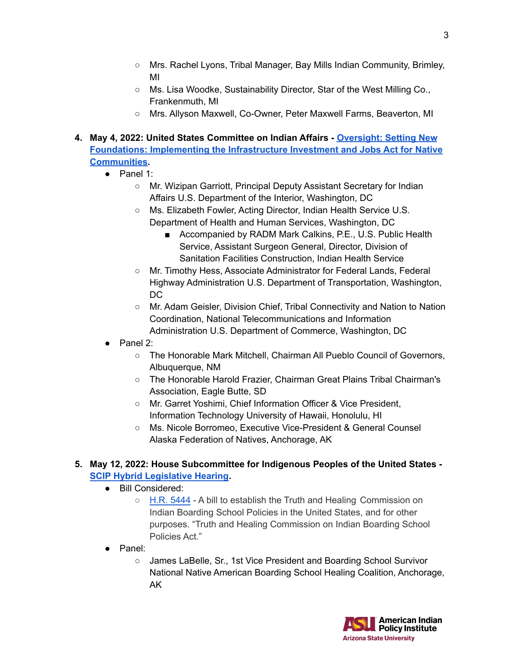- Mrs. Rachel Lyons, Tribal Manager, Bay Mills Indian Community, Brimley, MI
- Ms. Lisa Woodke, Sustainability Director, Star of the West Milling Co., Frankenmuth, MI
- Mrs. Allyson Maxwell, Co-Owner, Peter Maxwell Farms, Beaverton, MI
- **4. May 4, 2022: United States Committee on Indian Affairs - [Oversight:](https://www.indian.senate.gov/hearing/oversight-hearing-setting-new-foundations-implementing-infrastructure-investment-and-jobs) Setting New Foundations: Implementing the [Infrastructure](https://www.indian.senate.gov/hearing/oversight-hearing-setting-new-foundations-implementing-infrastructure-investment-and-jobs) Investment and Jobs Act for Native [Communities.](https://www.indian.senate.gov/hearing/oversight-hearing-setting-new-foundations-implementing-infrastructure-investment-and-jobs)**
	- $\bullet$  Panel 1:
		- Mr. Wizipan Garriott, Principal Deputy Assistant Secretary for Indian Affairs U.S. Department of the Interior, Washington, DC
		- Ms. Elizabeth Fowler, Acting Director, Indian Health Service U.S. Department of Health and Human Services, Washington, DC
			- Accompanied by RADM Mark Calkins, P.E., U.S. Public Health Service, Assistant Surgeon General, Director, Division of Sanitation Facilities Construction, Indian Health Service
		- Mr. Timothy Hess, Associate Administrator for Federal Lands, Federal Highway Administration U.S. Department of Transportation, Washington, DC
		- Mr. Adam Geisler, Division Chief, Tribal Connectivity and Nation to Nation Coordination, National Telecommunications and Information Administration U.S. Department of Commerce, Washington, DC
	- Panel 2:
		- The Honorable Mark Mitchell, Chairman All Pueblo Council of Governors, Albuquerque, NM
		- The Honorable Harold Frazier, Chairman Great Plains Tribal Chairman's Association, Eagle Butte, SD
		- Mr. Garret Yoshimi, Chief Information Officer & Vice President, Information Technology University of Hawaii, Honolulu, HI
		- Ms. Nicole Borromeo, Executive Vice-President & General Counsel Alaska Federation of Natives, Anchorage, AK

## **5. May 12, 2022: House Subcommittee for Indigenous Peoples of the United States - SCIP Hybrid [Legislative](https://naturalresources.house.gov/hearings/scip-hybrid-legislative-hearing_may-12-2022) Hearing.**

- Bill Considered:
	- H.R. [5444](https://www.congress.gov/bill/117th-congress/house-bill/5444?q=%7B%22search%22%3A%22hr5444%22%7D) A bill to establish the Truth and Healing Commission on Indian Boarding School Policies in the United States, and for other purposes. "Truth and Healing Commission on Indian Boarding School Policies Act."
- Panel:
	- James LaBelle, Sr., 1st Vice President and Boarding School Survivor National Native American Boarding School Healing Coalition, Anchorage, AK

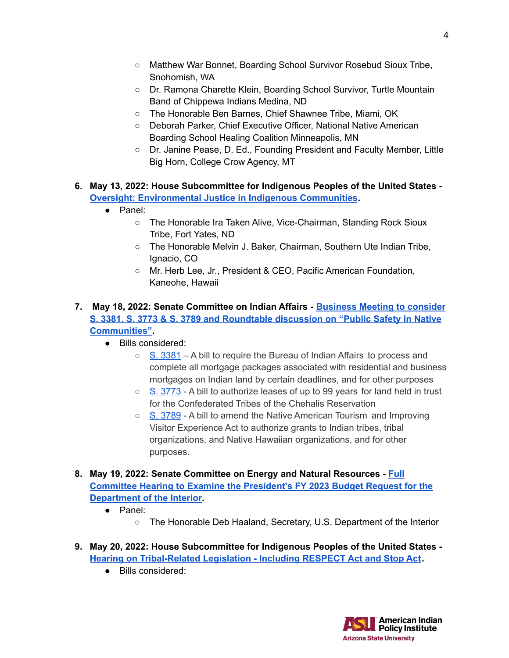- Matthew War Bonnet, Boarding School Survivor Rosebud Sioux Tribe, Snohomish, WA
- Dr. Ramona Charette Klein, Boarding School Survivor, Turtle Mountain Band of Chippewa Indians Medina, ND
- The Honorable Ben Barnes, Chief Shawnee Tribe, Miami, OK
- Deborah Parker, Chief Executive Officer, National Native American Boarding School Healing Coalition Minneapolis, MN
- Dr. Janine Pease, D. Ed., Founding President and Faculty Member, Little Big Horn, College Crow Agency, MT
- **6. May 13, 2022: House Subcommittee for Indigenous Peoples of the United States - Oversight: [Environmental](https://naturalresources.house.gov/hearings/environmental-justice-in-indigenous-communities) Justice in Indigenous Communities.**
	- Panel:
		- The Honorable Ira Taken Alive, Vice-Chairman, Standing Rock Sioux Tribe, Fort Yates, ND
		- The Honorable Melvin J. Baker, Chairman, Southern Ute Indian Tribe, Ignacio, CO
		- Mr. Herb Lee, Jr., President & CEO, Pacific American Foundation, Kaneohe, Hawaii
- **7. May 18, 2022: Senate Committee on Indian Affairs - [Business](https://www.indian.senate.gov/hearing/business-meeting-consider-s-3381-s-3773-s-3789-and-roundtable-discussion-public-safety) Meeting to consider S. 3381, S. 3773 & S. 3789 and [Roundtable](https://www.indian.senate.gov/hearing/business-meeting-consider-s-3381-s-3773-s-3789-and-roundtable-discussion-public-safety) discussion on "Public Safety in Native [Communities"](https://www.indian.senate.gov/hearing/business-meeting-consider-s-3381-s-3773-s-3789-and-roundtable-discussion-public-safety).**
	- Bills considered:
		- $\circ$  S. [3381](https://www.congress.gov/bill/117th-congress/senate-bill/3381) A bill to require the Bureau of Indian Affairs to process and complete all mortgage packages associated with residential and business mortgages on Indian land by certain deadlines, and for other purposes
		- $\circ$  S. [3773](https://www.congress.gov/bill/117th-congress/senate-bill/3773?q=%7B%22search%22%3A%5B%22S.+3773%22%2C%22S.%22%2C%223773%22%5D%7D&s=1&r=1) A bill to authorize leases of up to 99 years for land held in trust for the Confederated Tribes of the Chehalis Reservation
		- S. [3789](https://www.congress.gov/bill/117th-congress/senate-bill/3789?q=%7B%22search%22%3A%5B%22S.+3789%22%2C%22S.%22%2C%223789%22%5D%7D&s=2&r=1) A bill to amend the Native American Tourism and Improving Visitor Experience Act to authorize grants to Indian tribes, tribal organizations, and Native Hawaiian organizations, and for other purposes.
- **8. May 19, 2022: Senate Committee on Energy and Natural Resources - [Full](https://www.energy.senate.gov/hearings/2022/5/full-committee-hearing-to-examine-the-president-s-fy-2023-budget-request-for-the-department-of-the-interior) Committee Hearing to Examine the [President's](https://www.energy.senate.gov/hearings/2022/5/full-committee-hearing-to-examine-the-president-s-fy-2023-budget-request-for-the-department-of-the-interior) FY 2023 Budget Request for the [Department](https://www.energy.senate.gov/hearings/2022/5/full-committee-hearing-to-examine-the-president-s-fy-2023-budget-request-for-the-department-of-the-interior) of the Interior.**
	- Panel:
		- The Honorable Deb Haaland, Secretary, U.S. Department of the Interior
- **9. May 20, 2022: House Subcommittee for Indigenous Peoples of the United States - Hearing on [Tribal-Related](https://naturalresources.house.gov/hearings/hearing-on-tribal-related-legislation_-including-respect-act-and-stop-act) Legislation - Including RESPECT Act and Stop Act.**
	- Bills considered: